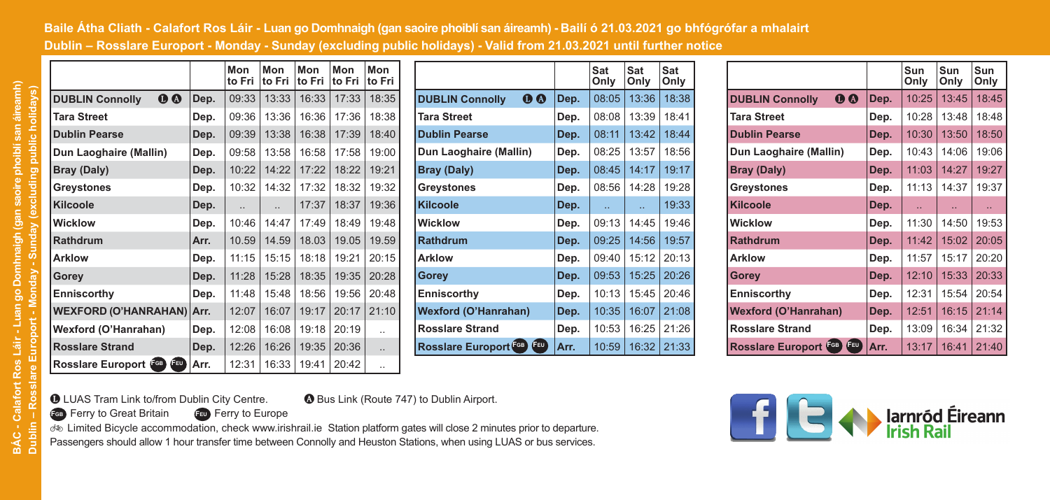## Baile Atha Cliath - Calafort Ros Láir - Luan go Domhnaigh (gan saoire phoiblí san áireamh) - Bailí ó 21.03.2021 go bhfógrófar a mhalairt Dublin – Rosslare Europort - Monday - Sunday (excluding public holidays) - Valid from 21.03.2021 until further notice

|                                       |      | Mon<br>to Fri        | Mon<br>to Fri        | Mon<br>to Fri | Mon<br>to Fri | Mon<br>to Fri |
|---------------------------------------|------|----------------------|----------------------|---------------|---------------|---------------|
| $\bf{0}$<br><b>DUBLIN Connolly</b>    | Dep. | 09:33                | 13:33                | 16:33         | 17:33         | 18:35         |
| <b>Tara Street</b>                    | Dep. | 09:36                | 13:36                | 16:36         | 17:36         | 18:38         |
| <b>Dublin Pearse</b>                  | Dep. | 09:39                | 13:38                | 16:38         | 17:39         | 18:40         |
| Dun Laoghaire (Mallin)                | Dep. | 09:58                | 13:58                | 16:58         | 17:58         | 19:00         |
| Bray (Daly)                           | Dep. | 10:22                | 14:22                | 17:22         | 18:22         | 19:21         |
| Greystones                            | Dep. | 10:32                | 14:32                | 17:32         | 18:32         | 19:32         |
| <b>Kilcoole</b>                       | Dep. | $\ddot{\phantom{a}}$ | $\ddot{\phantom{a}}$ | 17:37         | 18:37         | 19:36         |
| <b>Wicklow</b>                        | Dep. | 10:46                | 14:47                | 17:49         | 18:49         | 19:48         |
| <b>Rathdrum</b>                       | Arr. | 10.59                | 14.59                | 18.03         | 19.05         | 19.59         |
| <b>Arklow</b>                         | Dep. | 11:15                | 15:15                | 18:18         | 19:21         | 20:15         |
| Gorey                                 | Dep. | 11:28                | 15:28                | 18:35         | 19:35         | 20:28         |
| Enniscorthy                           | Dep. | 11:48                | 15:48                | 18:56         | 19:56         | 20:48         |
| <b>WEXFORD (O'HANRAHAN)</b>           | Arr. | 12:07                | 16:07                | 19:17         | 20:17         | 21:10         |
| Wexford (O'Hanrahan)                  | Dep. | 12:08                | 16:08                | 19:18         | 20:19         |               |
| <b>Rosslare Strand</b>                | Dep. | 12:26                | 16:26                | 19:35         | 20:36         |               |
| (FEU)<br>Rosslare Europort <b>COD</b> | Arr. | 12:31                | 16:33                | 19:41         | 20:42         |               |

|                                     |      | Sat<br>Only | Sat<br>Only | Sat<br>Only |  |
|-------------------------------------|------|-------------|-------------|-------------|--|
| $\bf{0}$<br><b>DUBLIN Connolly</b>  | Dep. | 08:05       | 13:36       | 18:38       |  |
| <b>Tara Street</b>                  | Dep. | 08:08       | 13:39       | 18:41       |  |
| <b>Dublin Pearse</b>                | Dep. | 08:11       | 13:42       | 18:44       |  |
| Dun Laoghaire (Mallin)              | Dep. | 08:25       | 13:57       | 18:56       |  |
| <b>Bray (Daly)</b>                  | Dep. | 08:45       | 14:17       | 19:17       |  |
| Greystones                          | Dep. | 08:56       | 14:28       | 19:28       |  |
| <b>Kilcoole</b>                     | Dep. | ÷.          | и.          | 19:33       |  |
| Wicklow                             | Dep. | 09:13       | 14:45       | 19:46       |  |
| Rathdrum                            | Dep. | 09:25       | 14:56       | 19:57       |  |
| <b>Arklow</b>                       | Dep. | 09:40       | 15:12       | 20:13       |  |
| Gorey                               | Dep. | 09:53       | 15:25       | 20:26       |  |
| Enniscorthy                         | Dep. | 10:13       | 15:45       | 20:46       |  |
| <b>Wexford (O'Hanrahan)</b>         | Dep. | 10:35       | 16:07       | 21:08       |  |
| <b>Rosslare Strand</b>              | Dep. | 10:53       | 16:25       | 21:26       |  |
| <b>FEU</b><br>Rosslare Europort CGB | Arr. | 10:59       | 16:32       | 21:33       |  |

|                                            |      | Sun<br>Only | Sun<br>Only | Sun<br>Only |  |
|--------------------------------------------|------|-------------|-------------|-------------|--|
| $\bf{0}$<br><b>DUBLIN Connolly</b>         | Dep. | 10:25       | 13:45       | 18:45       |  |
| <b>Tara Street</b>                         | Dep. | 10:28       | 13:48       | 18:48       |  |
| <b>Dublin Pearse</b>                       | Dep. | 10:30       | 13:50       | 18:50       |  |
| Dun Laoghaire (Mallin)                     | Dep. | 10:43       | 14:06       | 19:06       |  |
| Bray (Daly)                                | Dep. | 11:03       | 14:27       | 19:27       |  |
| Greystones                                 | Dep. | 11:13       | 14:37       | 19:37       |  |
| <b>Kilcoole</b>                            | Dep. | ÷.          | ä.          | u           |  |
| Wicklow                                    | Dep. | 11:30       | 14:50       | 19:53       |  |
| Rathdrum                                   | Dep. | 11.42       | 15:02       | 20:05       |  |
| <b>Arklow</b>                              | Dep. | 11:57       | 15:17       | 20:20       |  |
| Gorey                                      | Dep. | 12:10       | 15:33       | 20:33       |  |
| Enniscorthy                                | Dep. | 12:31       | 15:54       | 20:54       |  |
| <b>Wexford (O'Hanrahan)</b>                | Dep. | 12:51       | 16:15       | 21:14       |  |
| <b>Rosslare Strand</b>                     | Dep. | 13:09       | 16:34       | 21:32       |  |
| <b>FEU</b><br><b>Rosslare Europort FGB</b> | Arr. | 13:17       | 16:41       | 21:40       |  |

**1** LUAS Tram Link to/from Dublin City Centre. **a** Bus Link (Route 747) to Dublin Airport.<br>**<b>a** Ferry to Great Britain **a** Ferry to Europe **FGB** Ferry to Great Britain

 Limited Bicycle accommodation, check www.irishrail.ie Station platform gates will close 2 minutes prior to departure. Passengers should allow 1 hour transfer time between Connolly and Heuston Stations, when using LUAS or bus services.